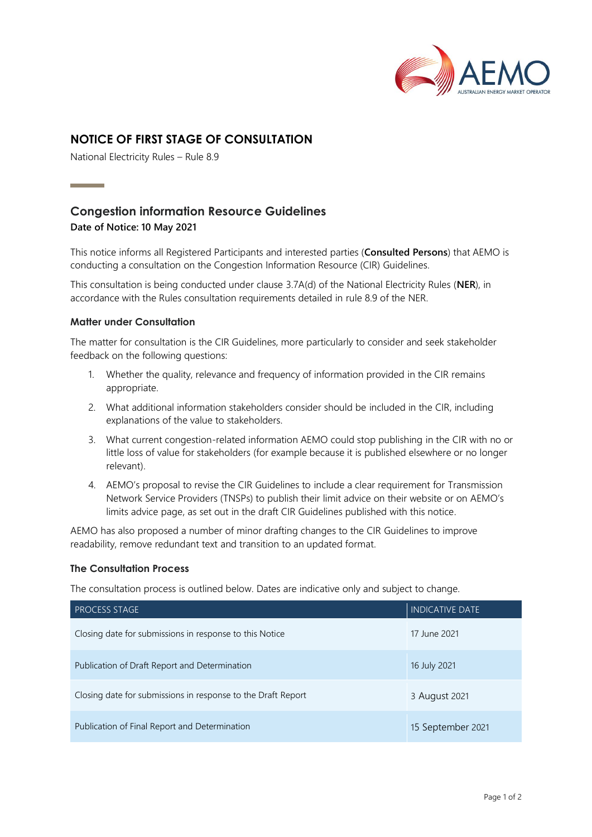

## **NOTICE OF FIRST STAGE OF CONSULTATION**

National Electricity Rules – Rule 8.9

# **Congestion information Resource Guidelines**

## **Date of Notice: 10 May 2021**

**Contract Contract Contract** 

This notice informs all Registered Participants and interested parties (**Consulted Persons**) that AEMO is conducting a consultation on the Congestion Information Resource (CIR) Guidelines.

This consultation is being conducted under clause 3.7A(d) of the National Electricity Rules (**NER**), in accordance with the Rules consultation requirements detailed in rule 8.9 of the NER.

## **Matter under Consultation**

The matter for consultation is the CIR Guidelines, more particularly to consider and seek stakeholder feedback on the following questions:

- 1. Whether the quality, relevance and frequency of information provided in the CIR remains appropriate.
- 2. What additional information stakeholders consider should be included in the CIR, including explanations of the value to stakeholders.
- 3. What current congestion-related information AEMO could stop publishing in the CIR with no or little loss of value for stakeholders (for example because it is published elsewhere or no longer relevant).
- 4. AEMO's proposal to revise the CIR Guidelines to include a clear requirement for Transmission Network Service Providers (TNSPs) to publish their limit advice on their website or on AEMO's limits advice page, as set out in the draft CIR Guidelines published with this notice.

AEMO has also proposed a number of minor drafting changes to the CIR Guidelines to improve readability, remove redundant text and transition to an updated format.

#### **The Consultation Process**

The consultation process is outlined below. Dates are indicative only and subject to change.

| PROCESS STAGE                                                | <b>INDICATIVE DATE</b> |
|--------------------------------------------------------------|------------------------|
| Closing date for submissions in response to this Notice      | 17 June 2021           |
| Publication of Draft Report and Determination                | 16 July 2021           |
| Closing date for submissions in response to the Draft Report | 3 August 2021          |
| Publication of Final Report and Determination                | 15 September 2021      |